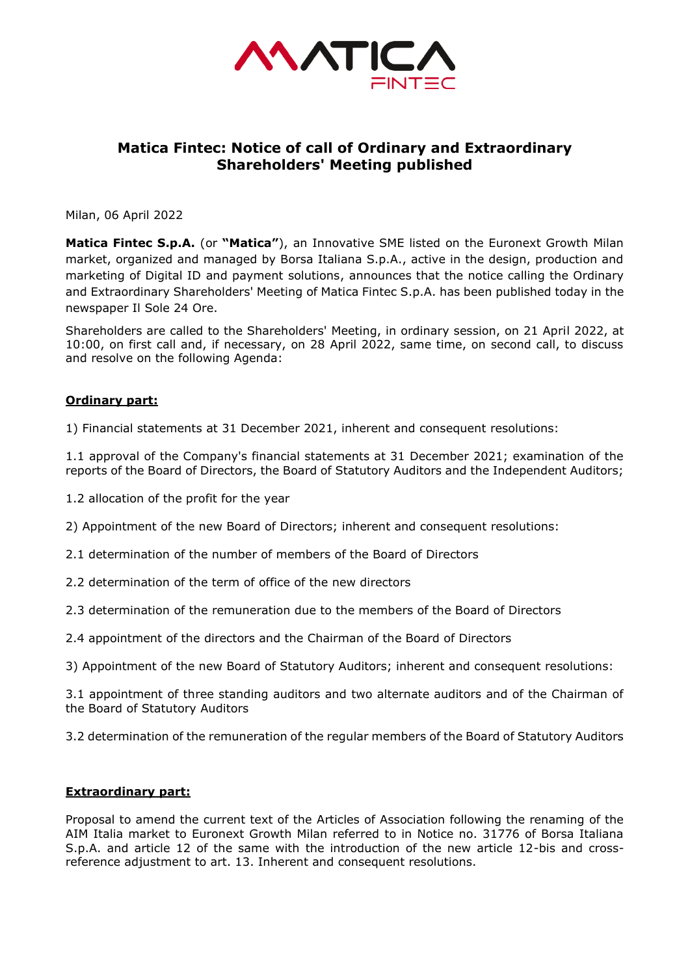

# **Matica Fintec: Notice of call of Ordinary and Extraordinary Shareholders' Meeting published**

Milan, 06 April 2022

**Matica Fintec S.p.A.** (or **"Matica"**), an Innovative SME listed on the Euronext Growth Milan market, organized and managed by Borsa Italiana S.p.A., active in the design, production and marketing of Digital ID and payment solutions, announces that the notice calling the Ordinary and Extraordinary Shareholders' Meeting of Matica Fintec S.p.A. has been published today in the newspaper Il Sole 24 Ore.

Shareholders are called to the Shareholders' Meeting, in ordinary session, on 21 April 2022, at 10:00, on first call and, if necessary, on 28 April 2022, same time, on second call, to discuss and resolve on the following Agenda:

## **Ordinary part:**

1) Financial statements at 31 December 2021, inherent and consequent resolutions:

1.1 approval of the Company's financial statements at 31 December 2021; examination of the reports of the Board of Directors, the Board of Statutory Auditors and the Independent Auditors;

- 1.2 allocation of the profit for the year
- 2) Appointment of the new Board of Directors; inherent and consequent resolutions:
- 2.1 determination of the number of members of the Board of Directors
- 2.2 determination of the term of office of the new directors
- 2.3 determination of the remuneration due to the members of the Board of Directors
- 2.4 appointment of the directors and the Chairman of the Board of Directors
- 3) Appointment of the new Board of Statutory Auditors; inherent and consequent resolutions:

3.1 appointment of three standing auditors and two alternate auditors and of the Chairman of the Board of Statutory Auditors

3.2 determination of the remuneration of the regular members of the Board of Statutory Auditors

## **Extraordinary part:**

Proposal to amend the current text of the Articles of Association following the renaming of the AIM Italia market to Euronext Growth Milan referred to in Notice no. 31776 of Borsa Italiana S.p.A. and article 12 of the same with the introduction of the new article 12-bis and crossreference adjustment to art. 13. Inherent and consequent resolutions.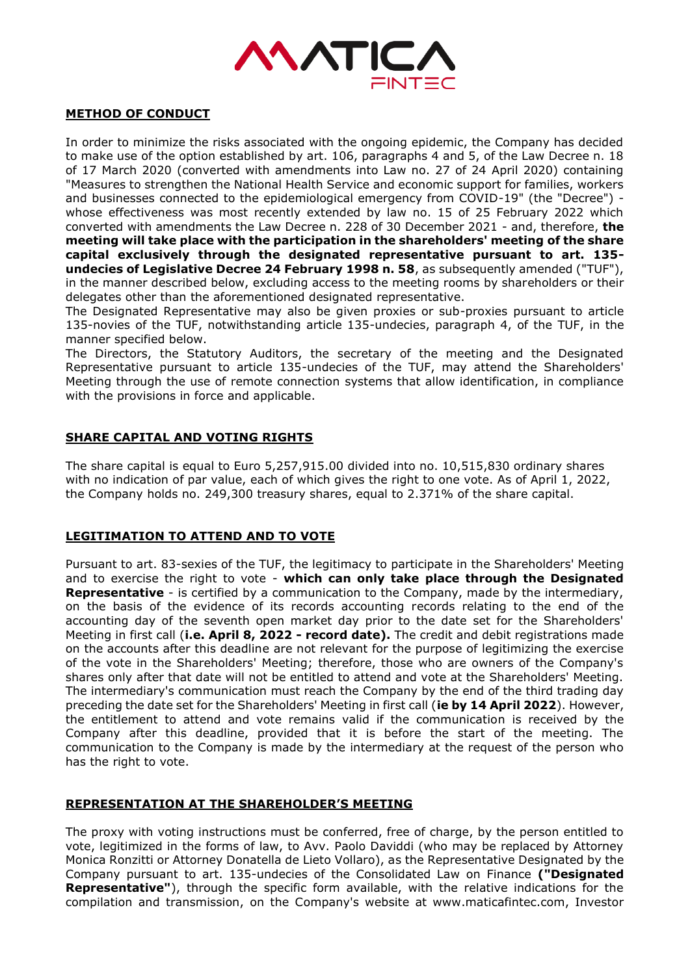

## **METHOD OF CONDUCT**

In order to minimize the risks associated with the ongoing epidemic, the Company has decided to make use of the option established by art. 106, paragraphs 4 and 5, of the Law Decree n. 18 of 17 March 2020 (converted with amendments into Law no. 27 of 24 April 2020) containing "Measures to strengthen the National Health Service and economic support for families, workers and businesses connected to the epidemiological emergency from COVID-19" (the "Decree") whose effectiveness was most recently extended by law no. 15 of 25 February 2022 which converted with amendments the Law Decree n. 228 of 30 December 2021 - and, therefore, **the meeting will take place with the participation in the shareholders' meeting of the share capital exclusively through the designated representative pursuant to art. 135 undecies of Legislative Decree 24 February 1998 n. 58**, as subsequently amended ("TUF"), in the manner described below, excluding access to the meeting rooms by shareholders or their delegates other than the aforementioned designated representative.

The Designated Representative may also be given proxies or sub-proxies pursuant to article 135-novies of the TUF, notwithstanding article 135-undecies, paragraph 4, of the TUF, in the manner specified below.

The Directors, the Statutory Auditors, the secretary of the meeting and the Designated Representative pursuant to article 135-undecies of the TUF, may attend the Shareholders' Meeting through the use of remote connection systems that allow identification, in compliance with the provisions in force and applicable.

# **SHARE CAPITAL AND VOTING RIGHTS**

The share capital is equal to Euro 5,257,915.00 divided into no. 10,515,830 ordinary shares with no indication of par value, each of which gives the right to one vote. As of April 1, 2022, the Company holds no. 249,300 treasury shares, equal to 2.371% of the share capital.

## **LEGITIMATION TO ATTEND AND TO VOTE**

Pursuant to art. 83-sexies of the TUF, the legitimacy to participate in the Shareholders' Meeting and to exercise the right to vote - **which can only take place through the Designated Representative** - is certified by a communication to the Company, made by the intermediary, on the basis of the evidence of its records accounting records relating to the end of the accounting day of the seventh open market day prior to the date set for the Shareholders' Meeting in first call (**i.e. April 8, 2022 - record date).** The credit and debit registrations made on the accounts after this deadline are not relevant for the purpose of legitimizing the exercise of the vote in the Shareholders' Meeting; therefore, those who are owners of the Company's shares only after that date will not be entitled to attend and vote at the Shareholders' Meeting. The intermediary's communication must reach the Company by the end of the third trading day preceding the date set for the Shareholders' Meeting in first call (**ie by 14 April 2022**). However, the entitlement to attend and vote remains valid if the communication is received by the Company after this deadline, provided that it is before the start of the meeting. The communication to the Company is made by the intermediary at the request of the person who has the right to vote.

## **REPRESENTATION AT THE SHAREHOLDER'S MEETING**

The proxy with voting instructions must be conferred, free of charge, by the person entitled to vote, legitimized in the forms of law, to Avv. Paolo Daviddi (who may be replaced by Attorney Monica Ronzitti or Attorney Donatella de Lieto Vollaro), as the Representative Designated by the Company pursuant to art. 135-undecies of the Consolidated Law on Finance **("Designated Representative"**), through the specific form available, with the relative indications for the compilation and transmission, on the Company's website at www.maticafintec.com, Investor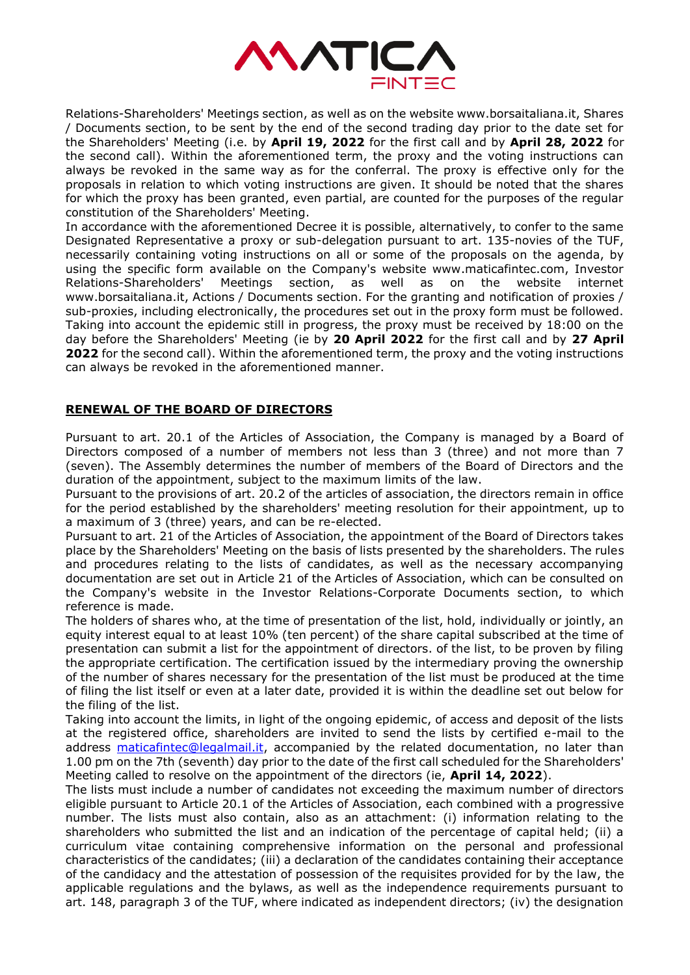

Relations-Shareholders' Meetings section, as well as on the website www.borsaitaliana.it, Shares / Documents section, to be sent by the end of the second trading day prior to the date set for the Shareholders' Meeting (i.e. by **April 19, 2022** for the first call and by **April 28, 2022** for the second call). Within the aforementioned term, the proxy and the voting instructions can always be revoked in the same way as for the conferral. The proxy is effective only for the proposals in relation to which voting instructions are given. It should be noted that the shares for which the proxy has been granted, even partial, are counted for the purposes of the regular constitution of the Shareholders' Meeting.

In accordance with the aforementioned Decree it is possible, alternatively, to confer to the same Designated Representative a proxy or sub-delegation pursuant to art. 135-novies of the TUF, necessarily containing voting instructions on all or some of the proposals on the agenda, by using the specific form available on the Company's website www.maticafintec.com, Investor Relations-Shareholders' Meetings section, as well as on the website internet www.borsaitaliana.it, Actions / Documents section. For the granting and notification of proxies / sub-proxies, including electronically, the procedures set out in the proxy form must be followed. Taking into account the epidemic still in progress, the proxy must be received by 18:00 on the day before the Shareholders' Meeting (ie by **20 April 2022** for the first call and by **27 April 2022** for the second call). Within the aforementioned term, the proxy and the voting instructions can always be revoked in the aforementioned manner.

# **RENEWAL OF THE BOARD OF DIRECTORS**

Pursuant to art. 20.1 of the Articles of Association, the Company is managed by a Board of Directors composed of a number of members not less than 3 (three) and not more than 7 (seven). The Assembly determines the number of members of the Board of Directors and the duration of the appointment, subject to the maximum limits of the law.

Pursuant to the provisions of art. 20.2 of the articles of association, the directors remain in office for the period established by the shareholders' meeting resolution for their appointment, up to a maximum of 3 (three) years, and can be re-elected.

Pursuant to art. 21 of the Articles of Association, the appointment of the Board of Directors takes place by the Shareholders' Meeting on the basis of lists presented by the shareholders. The rules and procedures relating to the lists of candidates, as well as the necessary accompanying documentation are set out in Article 21 of the Articles of Association, which can be consulted on the Company's website in the Investor Relations-Corporate Documents section, to which reference is made.

The holders of shares who, at the time of presentation of the list, hold, individually or jointly, an equity interest equal to at least 10% (ten percent) of the share capital subscribed at the time of presentation can submit a list for the appointment of directors. of the list, to be proven by filing the appropriate certification. The certification issued by the intermediary proving the ownership of the number of shares necessary for the presentation of the list must be produced at the time of filing the list itself or even at a later date, provided it is within the deadline set out below for the filing of the list.

Taking into account the limits, in light of the ongoing epidemic, of access and deposit of the lists at the registered office, shareholders are invited to send the lists by certified e-mail to the address [maticafintec@legalmail.it,](mailto:maticafintec@legalmail.it) accompanied by the related documentation, no later than 1.00 pm on the 7th (seventh) day prior to the date of the first call scheduled for the Shareholders' Meeting called to resolve on the appointment of the directors (ie, **April 14, 2022**).

The lists must include a number of candidates not exceeding the maximum number of directors eligible pursuant to Article 20.1 of the Articles of Association, each combined with a progressive number. The lists must also contain, also as an attachment: (i) information relating to the shareholders who submitted the list and an indication of the percentage of capital held; (ii) a curriculum vitae containing comprehensive information on the personal and professional characteristics of the candidates; (iii) a declaration of the candidates containing their acceptance of the candidacy and the attestation of possession of the requisites provided for by the law, the applicable regulations and the bylaws, as well as the independence requirements pursuant to art. 148, paragraph 3 of the TUF, where indicated as independent directors; (iv) the designation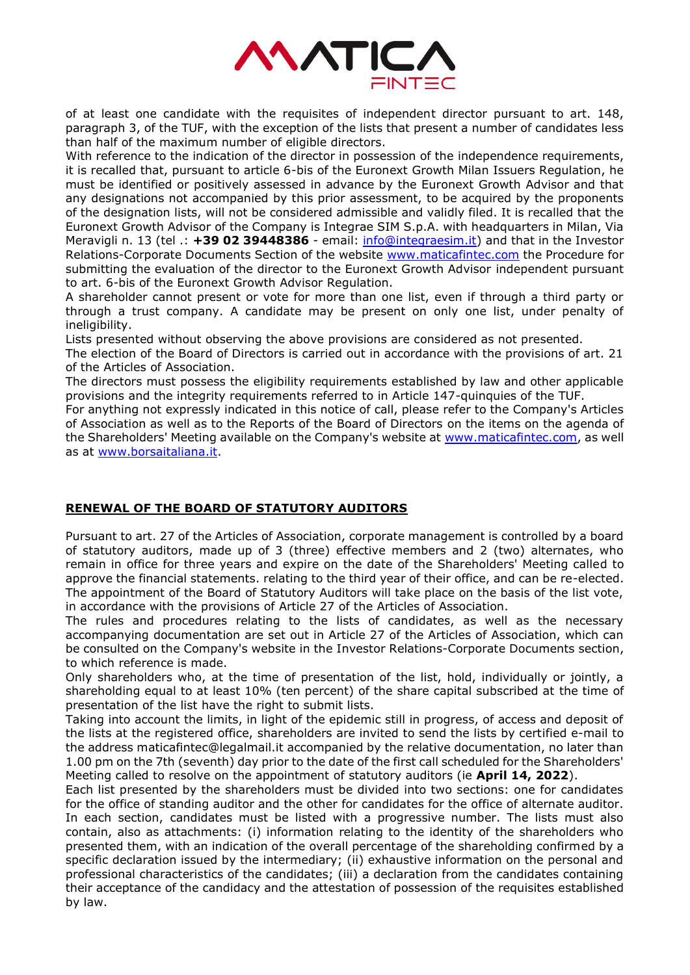

of at least one candidate with the requisites of independent director pursuant to art. 148, paragraph 3, of the TUF, with the exception of the lists that present a number of candidates less than half of the maximum number of eligible directors.

With reference to the indication of the director in possession of the independence requirements, it is recalled that, pursuant to article 6-bis of the Euronext Growth Milan Issuers Regulation, he must be identified or positively assessed in advance by the Euronext Growth Advisor and that any designations not accompanied by this prior assessment, to be acquired by the proponents of the designation lists, will not be considered admissible and validly filed. It is recalled that the Euronext Growth Advisor of the Company is Integrae SIM S.p.A. with headquarters in Milan, Via Meravigli n. 13 (tel .: +39 02 39448386 - email: *info@integraesim.it*) and that in the Investor Relations-Corporate Documents Section of the website [www.maticafintec.com](http://www.maticafintec.com/) the Procedure for submitting the evaluation of the director to the Euronext Growth Advisor independent pursuant to art. 6-bis of the Euronext Growth Advisor Regulation.

A shareholder cannot present or vote for more than one list, even if through a third party or through a trust company. A candidate may be present on only one list, under penalty of ineligibility.

Lists presented without observing the above provisions are considered as not presented.

The election of the Board of Directors is carried out in accordance with the provisions of art. 21 of the Articles of Association.

The directors must possess the eligibility requirements established by law and other applicable provisions and the integrity requirements referred to in Article 147-quinquies of the TUF.

For anything not expressly indicated in this notice of call, please refer to the Company's Articles of Association as well as to the Reports of the Board of Directors on the items on the agenda of the Shareholders' Meeting available on the Company's website at [www.maticafintec.com,](http://www.maticafintec.com/) as well as at [www.borsaitaliana.it.](http://www.borsaitaliana.it/)

# **RENEWAL OF THE BOARD OF STATUTORY AUDITORS**

Pursuant to art. 27 of the Articles of Association, corporate management is controlled by a board of statutory auditors, made up of 3 (three) effective members and 2 (two) alternates, who remain in office for three years and expire on the date of the Shareholders' Meeting called to approve the financial statements. relating to the third year of their office, and can be re-elected. The appointment of the Board of Statutory Auditors will take place on the basis of the list vote, in accordance with the provisions of Article 27 of the Articles of Association.

The rules and procedures relating to the lists of candidates, as well as the necessary accompanying documentation are set out in Article 27 of the Articles of Association, which can be consulted on the Company's website in the Investor Relations-Corporate Documents section, to which reference is made.

Only shareholders who, at the time of presentation of the list, hold, individually or jointly, a shareholding equal to at least 10% (ten percent) of the share capital subscribed at the time of presentation of the list have the right to submit lists.

Taking into account the limits, in light of the epidemic still in progress, of access and deposit of the lists at the registered office, shareholders are invited to send the lists by certified e-mail to the address maticafintec@legalmail.it accompanied by the relative documentation, no later than 1.00 pm on the 7th (seventh) day prior to the date of the first call scheduled for the Shareholders' Meeting called to resolve on the appointment of statutory auditors (ie **April 14, 2022**).

Each list presented by the shareholders must be divided into two sections: one for candidates for the office of standing auditor and the other for candidates for the office of alternate auditor. In each section, candidates must be listed with a progressive number. The lists must also contain, also as attachments: (i) information relating to the identity of the shareholders who presented them, with an indication of the overall percentage of the shareholding confirmed by a specific declaration issued by the intermediary; (ii) exhaustive information on the personal and professional characteristics of the candidates; (iii) a declaration from the candidates containing their acceptance of the candidacy and the attestation of possession of the requisites established by law.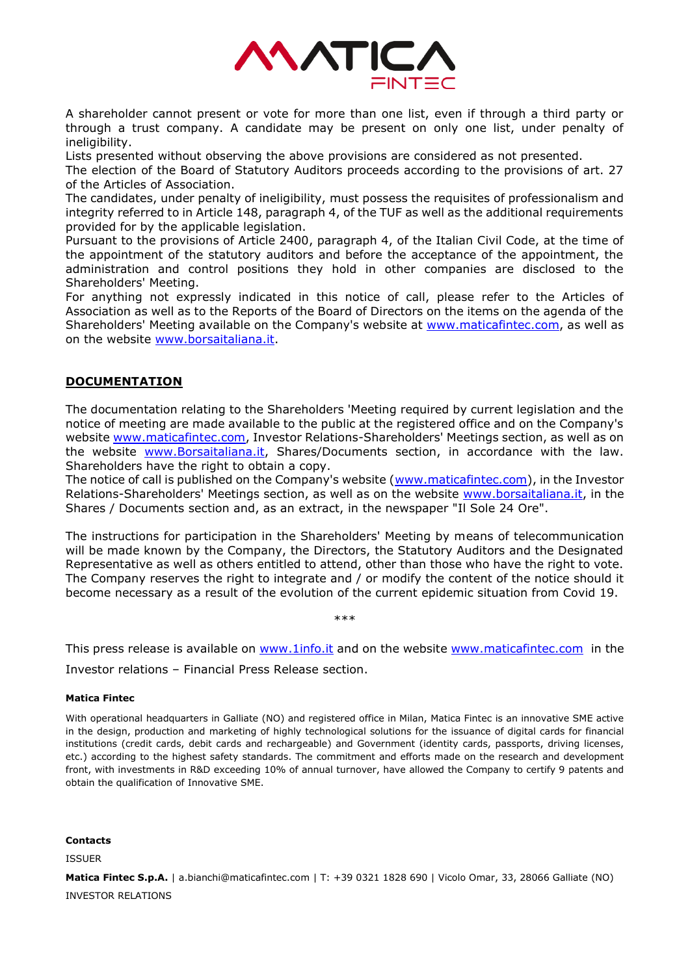

A shareholder cannot present or vote for more than one list, even if through a third party or through a trust company. A candidate may be present on only one list, under penalty of ineligibility.

Lists presented without observing the above provisions are considered as not presented.

The election of the Board of Statutory Auditors proceeds according to the provisions of art. 27 of the Articles of Association.

The candidates, under penalty of ineligibility, must possess the requisites of professionalism and integrity referred to in Article 148, paragraph 4, of the TUF as well as the additional requirements provided for by the applicable legislation.

Pursuant to the provisions of Article 2400, paragraph 4, of the Italian Civil Code, at the time of the appointment of the statutory auditors and before the acceptance of the appointment, the administration and control positions they hold in other companies are disclosed to the Shareholders' Meeting.

For anything not expressly indicated in this notice of call, please refer to the Articles of Association as well as to the Reports of the Board of Directors on the items on the agenda of the Shareholders' Meeting available on the Company's website at [www.maticafintec.com,](http://www.maticafintec.com/) as well as on the website [www.borsaitaliana.it.](http://www.borsaitaliana.it/)

# **DOCUMENTATION**

The documentation relating to the Shareholders 'Meeting required by current legislation and the notice of meeting are made available to the public at the registered office and on the Company's website [www.maticafintec.com,](http://www.maticafintec.com/) Investor Relations-Shareholders' Meetings section, as well as on the website [www.Borsaitaliana.it,](http://www.borsaitaliana.it/) Shares/Documents section, in accordance with the law. Shareholders have the right to obtain a copy.

The notice of call is published on the Company's website [\(www.maticafintec.com\)](http://www.maticafintec.com/), in the Investor Relations-Shareholders' Meetings section, as well as on the website [www.borsaitaliana.it,](http://www.borsaitaliana.it/) in the Shares / Documents section and, as an extract, in the newspaper "Il Sole 24 Ore".

The instructions for participation in the Shareholders' Meeting by means of telecommunication will be made known by the Company, the Directors, the Statutory Auditors and the Designated Representative as well as others entitled to attend, other than those who have the right to vote. The Company reserves the right to integrate and / or modify the content of the notice should it become necessary as a result of the evolution of the current epidemic situation from Covid 19.

This press release is available on [www.1info.it](http://www.1info.it/) and on the website [www.maticafintec.com](http://www.maticafintec.com/) in the

\*\*\*

Investor relations – Financial Press Release section.

#### **Matica Fintec**

With operational headquarters in Galliate (NO) and registered office in Milan, Matica Fintec is an innovative SME active in the design, production and marketing of highly technological solutions for the issuance of digital cards for financial institutions (credit cards, debit cards and rechargeable) and Government (identity cards, passports, driving licenses, etc.) according to the highest safety standards. The commitment and efforts made on the research and development front, with investments in R&D exceeding 10% of annual turnover, have allowed the Company to certify 9 patents and obtain the qualification of Innovative SME.

#### **Contacts**

ISSUER

**Matica Fintec S.p.A.** | a.bianchi@maticafintec.com | T: +39 0321 1828 690 | Vicolo Omar, 33, 28066 Galliate (NO) INVESTOR RELATIONS